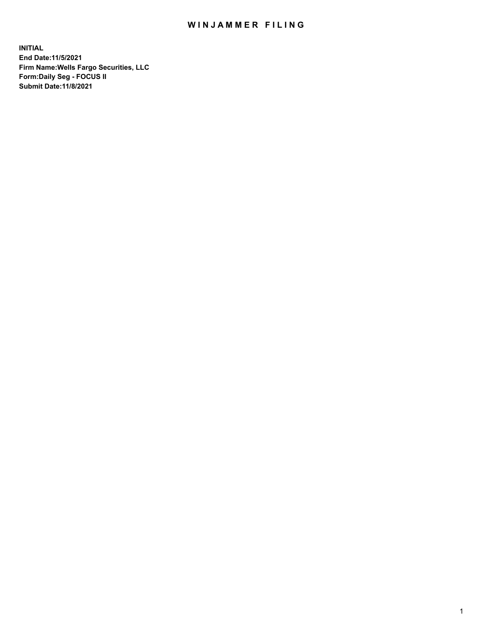## WIN JAMMER FILING

**INITIAL End Date:11/5/2021 Firm Name:Wells Fargo Securities, LLC Form:Daily Seg - FOCUS II Submit Date:11/8/2021**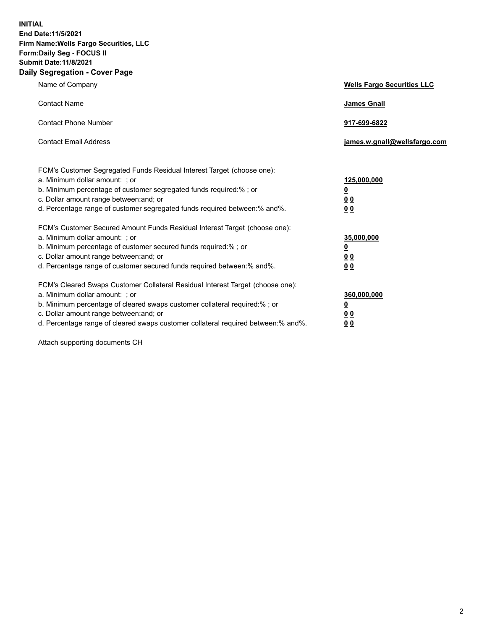**INITIAL End Date:11/5/2021 Firm Name:Wells Fargo Securities, LLC Form:Daily Seg - FOCUS II Submit Date:11/8/2021 Daily Segregation - Cover Page**

| Name of Company                                                                                                                                                                                                                                                                                                                | <b>Wells Fargo Securities LLC</b>                           |
|--------------------------------------------------------------------------------------------------------------------------------------------------------------------------------------------------------------------------------------------------------------------------------------------------------------------------------|-------------------------------------------------------------|
| <b>Contact Name</b>                                                                                                                                                                                                                                                                                                            | <b>James Gnall</b>                                          |
| <b>Contact Phone Number</b>                                                                                                                                                                                                                                                                                                    | 917-699-6822                                                |
| <b>Contact Email Address</b>                                                                                                                                                                                                                                                                                                   | james.w.gnall@wellsfargo.com                                |
| FCM's Customer Segregated Funds Residual Interest Target (choose one):<br>a. Minimum dollar amount: ; or<br>b. Minimum percentage of customer segregated funds required:% ; or<br>c. Dollar amount range between: and; or<br>d. Percentage range of customer segregated funds required between: % and %.                       | 125,000,000<br><u>0</u><br>0 <sub>0</sub><br>0 <sub>0</sub> |
| FCM's Customer Secured Amount Funds Residual Interest Target (choose one):<br>a. Minimum dollar amount: ; or<br>b. Minimum percentage of customer secured funds required:%; or<br>c. Dollar amount range between: and; or<br>d. Percentage range of customer secured funds required between: % and %.                          | 35,000,000<br><u>0</u><br>00<br>0 <sub>0</sub>              |
| FCM's Cleared Swaps Customer Collateral Residual Interest Target (choose one):<br>a. Minimum dollar amount: ; or<br>b. Minimum percentage of cleared swaps customer collateral required:% ; or<br>c. Dollar amount range between: and; or<br>d. Percentage range of cleared swaps customer collateral required between:% and%. | 360,000,000<br><u>0</u><br>00<br>00                         |

Attach supporting documents CH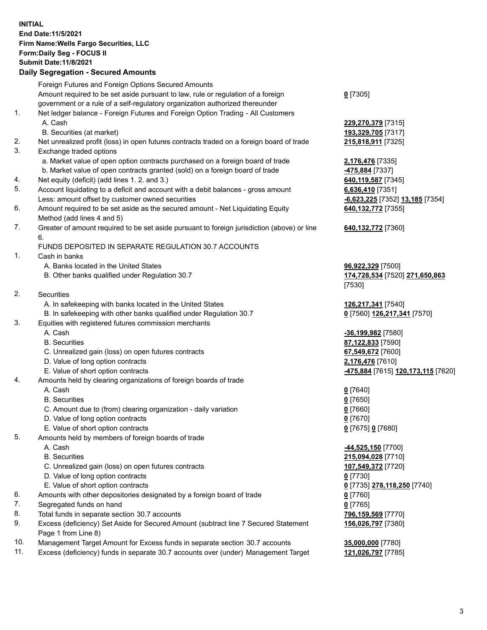**INITIAL End Date:11/5/2021 Firm Name:Wells Fargo Securities, LLC Form:Daily Seg - FOCUS II Submit Date:11/8/2021**

## **Daily Segregation - Secured Amounts**

|    | Foreign Futures and Foreign Options Secured Amounts                                         |                                                 |
|----|---------------------------------------------------------------------------------------------|-------------------------------------------------|
|    | Amount required to be set aside pursuant to law, rule or regulation of a foreign            | $0$ [7305]                                      |
|    | government or a rule of a self-regulatory organization authorized thereunder                |                                                 |
| 1. | Net ledger balance - Foreign Futures and Foreign Option Trading - All Customers             |                                                 |
|    | A. Cash                                                                                     | 229,270,379 [7315]                              |
|    | B. Securities (at market)                                                                   | 193,329,705 [7317]                              |
| 2. | Net unrealized profit (loss) in open futures contracts traded on a foreign board of trade   | 215,818,911 [7325]                              |
| 3. | Exchange traded options                                                                     |                                                 |
|    | a. Market value of open option contracts purchased on a foreign board of trade              | 2,176,476 [7335]                                |
|    | b. Market value of open contracts granted (sold) on a foreign board of trade                | -475,884 [7337]                                 |
| 4. | Net equity (deficit) (add lines 1.2. and 3.)                                                | 640,119,587 [7345]                              |
| 5. | Account liquidating to a deficit and account with a debit balances - gross amount           | 6,636,410 [7351]                                |
|    | Less: amount offset by customer owned securities                                            | -6,623,225 [7352] 13,185 [7354]                 |
| 6. | Amount required to be set aside as the secured amount - Net Liquidating Equity              | 640,132,772 [7355]                              |
|    | Method (add lines 4 and 5)                                                                  |                                                 |
| 7. | Greater of amount required to be set aside pursuant to foreign jurisdiction (above) or line | 640,132,772 [7360]                              |
|    | 6.                                                                                          |                                                 |
|    | FUNDS DEPOSITED IN SEPARATE REGULATION 30.7 ACCOUNTS                                        |                                                 |
| 1. | Cash in banks                                                                               |                                                 |
|    | A. Banks located in the United States                                                       | 96,922,329 [7500]                               |
|    | B. Other banks qualified under Regulation 30.7                                              | 174,728,534 [7520] 271,650,863                  |
|    |                                                                                             | [7530]                                          |
| 2. | Securities                                                                                  |                                                 |
|    | A. In safekeeping with banks located in the United States                                   | 126,217,341 [7540]                              |
|    | B. In safekeeping with other banks qualified under Regulation 30.7                          | 0 [7560] 126,217,341 [7570]                     |
| 3. | Equities with registered futures commission merchants                                       |                                                 |
|    | A. Cash                                                                                     | -36,199,982 [7580]                              |
|    | <b>B.</b> Securities                                                                        | 87,122,833 [7590]                               |
|    | C. Unrealized gain (loss) on open futures contracts                                         | 67,549,672 [7600]                               |
|    | D. Value of long option contracts                                                           | 2,176,476 [7610]                                |
|    | E. Value of short option contracts                                                          | <mark>-475,884</mark> [7615] 120,173,115 [7620] |
| 4. | Amounts held by clearing organizations of foreign boards of trade                           |                                                 |
|    | A. Cash                                                                                     | $0$ [7640]                                      |
|    | <b>B.</b> Securities                                                                        | $0$ [7650]                                      |
|    | C. Amount due to (from) clearing organization - daily variation                             | $0$ [7660]                                      |
|    | D. Value of long option contracts                                                           | $0$ [7670]                                      |
|    | E. Value of short option contracts                                                          | 0 [7675] 0 [7680]                               |
| 5. | Amounts held by members of foreign boards of trade                                          |                                                 |
|    | A. Cash                                                                                     | -44,525,150 <sup>[7700]</sup>                   |
|    | <b>B.</b> Securities                                                                        | 215,094,028 [7710]                              |
|    | C. Unrealized gain (loss) on open futures contracts                                         | 107,549,372 [7720]                              |
|    | D. Value of long option contracts                                                           | $0$ [7730]                                      |
|    | E. Value of short option contracts                                                          | 0 [7735] 278,118,250 [7740]                     |
| 6. | Amounts with other depositories designated by a foreign board of trade                      | <u>0</u> [7760]                                 |
| 7. | Segregated funds on hand                                                                    | $0$ [7765]                                      |
| 8. | Total funds in separate section 30.7 accounts                                               | 796,159,569 [7770]                              |
| 9. | Excess (deficiency) Set Aside for Secured Amount (subtract line 7 Secured Statement         | 156,026,797 [7380]                              |
|    | Page 1 from Line 8)                                                                         |                                                 |

- 10. Management Target Amount for Excess funds in separate section 30.7 accounts **35,000,000** [7780]
- 11. Excess (deficiency) funds in separate 30.7 accounts over (under) Management Target **121,026,797** [7785]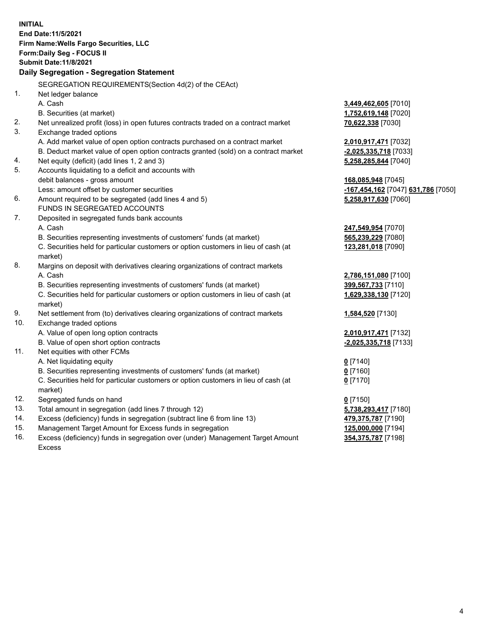**INITIAL End Date:11/5/2021 Firm Name:Wells Fargo Securities, LLC Form:Daily Seg - FOCUS II Submit Date:11/8/2021 Daily Segregation - Segregation Statement** SEGREGATION REQUIREMENTS(Section 4d(2) of the CEAct) 1. Net ledger balance A. Cash **3,449,462,605** [7010] B. Securities (at market) **1,752,619,148** [7020] 2. Net unrealized profit (loss) in open futures contracts traded on a contract market **70,622,338** [7030] 3. Exchange traded options A. Add market value of open option contracts purchased on a contract market **2,010,917,471** [7032] B. Deduct market value of open option contracts granted (sold) on a contract market **-2,025,335,718** [7033] 4. Net equity (deficit) (add lines 1, 2 and 3) **5,258,285,844** [7040] 5. Accounts liquidating to a deficit and accounts with debit balances - gross amount **168,085,948** [7045] Less: amount offset by customer securities **-167,454,162** [7047] **631,786** [7050] 6. Amount required to be segregated (add lines 4 and 5) **5,258,917,630** [7060] FUNDS IN SEGREGATED ACCOUNTS 7. Deposited in segregated funds bank accounts A. Cash **247,549,954** [7070] B. Securities representing investments of customers' funds (at market) **565,239,229** [7080] C. Securities held for particular customers or option customers in lieu of cash (at market) **123,281,018** [7090] 8. Margins on deposit with derivatives clearing organizations of contract markets A. Cash **2,786,151,080** [7100] B. Securities representing investments of customers' funds (at market) **399,567,733** [7110] C. Securities held for particular customers or option customers in lieu of cash (at market) **1,629,338,130** [7120] 9. Net settlement from (to) derivatives clearing organizations of contract markets **1,584,520** [7130] 10. Exchange traded options A. Value of open long option contracts **2,010,917,471** [7132] B. Value of open short option contracts **-2,025,335,718** [7133] 11. Net equities with other FCMs A. Net liquidating equity **0** [7140] B. Securities representing investments of customers' funds (at market) **0** [7160] C. Securities held for particular customers or option customers in lieu of cash (at market) **0** [7170] 12. Segregated funds on hand **0** [7150] 13. Total amount in segregation (add lines 7 through 12) **5,738,293,417** [7180] 14. Excess (deficiency) funds in segregation (subtract line 6 from line 13) **479,375,787** [7190] 15. Management Target Amount for Excess funds in segregation **125,000,000** [7194] 16. Excess (deficiency) funds in segregation over (under) Management Target Amount **354,375,787** [7198]

Excess